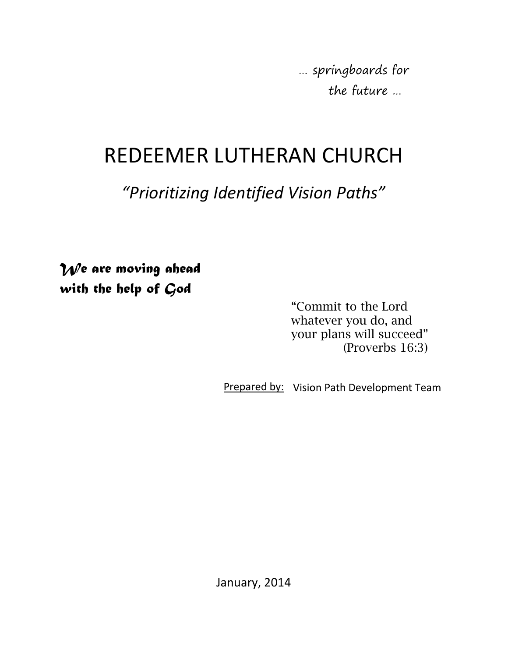… springboards for the future …

# REDEEMER LUTHERAN CHURCH

## *"Prioritizing Identified Vision Paths"*

 *We are moving ahead with the help of God* 

> "Commit to the Lord whatever you do, and your plans will succeed" (Proverbs 16:3)

Prepared by: Vision Path Development Team

January, 2014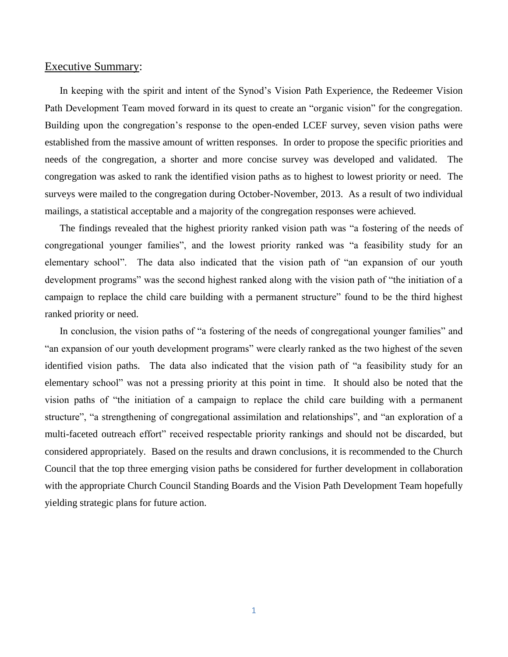#### Executive Summary:

In keeping with the spirit and intent of the Synod's Vision Path Experience, the Redeemer Vision Path Development Team moved forward in its quest to create an "organic vision" for the congregation. Building upon the congregation's response to the open-ended LCEF survey, seven vision paths were established from the massive amount of written responses. In order to propose the specific priorities and needs of the congregation, a shorter and more concise survey was developed and validated. The congregation was asked to rank the identified vision paths as to highest to lowest priority or need. The surveys were mailed to the congregation during October-November, 2013. As a result of two individual mailings, a statistical acceptable and a majority of the congregation responses were achieved.

The findings revealed that the highest priority ranked vision path was "a fostering of the needs of congregational younger families", and the lowest priority ranked was "a feasibility study for an elementary school". The data also indicated that the vision path of "an expansion of our youth development programs" was the second highest ranked along with the vision path of "the initiation of a campaign to replace the child care building with a permanent structure" found to be the third highest ranked priority or need.

In conclusion, the vision paths of "a fostering of the needs of congregational younger families" and "an expansion of our youth development programs" were clearly ranked as the two highest of the seven identified vision paths. The data also indicated that the vision path of "a feasibility study for an elementary school" was not a pressing priority at this point in time. It should also be noted that the vision paths of "the initiation of a campaign to replace the child care building with a permanent structure", "a strengthening of congregational assimilation and relationships", and "an exploration of a multi-faceted outreach effort" received respectable priority rankings and should not be discarded, but considered appropriately. Based on the results and drawn conclusions, it is recommended to the Church Council that the top three emerging vision paths be considered for further development in collaboration with the appropriate Church Council Standing Boards and the Vision Path Development Team hopefully yielding strategic plans for future action.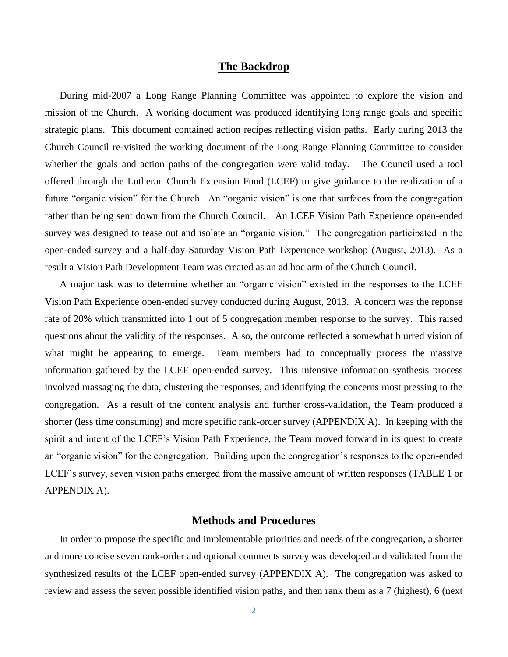#### **The Backdrop**

During mid-2007 a Long Range Planning Committee was appointed to explore the vision and mission of the Church. A working document was produced identifying long range goals and specific strategic plans. This document contained action recipes reflecting vision paths. Early during 2013 the Church Council re-visited the working document of the Long Range Planning Committee to consider whether the goals and action paths of the congregation were valid today. The Council used a tool offered through the Lutheran Church Extension Fund (LCEF) to give guidance to the realization of a future "organic vision" for the Church. An "organic vision" is one that surfaces from the congregation rather than being sent down from the Church Council. An LCEF Vision Path Experience open-ended survey was designed to tease out and isolate an "organic vision." The congregation participated in the open-ended survey and a half-day Saturday Vision Path Experience workshop (August, 2013). As a result a Vision Path Development Team was created as an ad hoc arm of the Church Council.

A major task was to determine whether an "organic vision" existed in the responses to the LCEF Vision Path Experience open-ended survey conducted during August, 2013. A concern was the reponse rate of 20% which transmitted into 1 out of 5 congregation member response to the survey. This raised questions about the validity of the responses. Also, the outcome reflected a somewhat blurred vision of what might be appearing to emerge. Team members had to conceptually process the massive information gathered by the LCEF open-ended survey. This intensive information synthesis process involved massaging the data, clustering the responses, and identifying the concerns most pressing to the congregation. As a result of the content analysis and further cross-validation, the Team produced a shorter (less time consuming) and more specific rank-order survey (APPENDIX A). In keeping with the spirit and intent of the LCEF's Vision Path Experience, the Team moved forward in its quest to create an "organic vision" for the congregation. Building upon the congregation's responses to the open-ended LCEF's survey, seven vision paths emerged from the massive amount of written responses (TABLE 1 or APPENDIX A).

#### **Methods and Procedures**

In order to propose the specific and implementable priorities and needs of the congregation, a shorter and more concise seven rank-order and optional comments survey was developed and validated from the synthesized results of the LCEF open-ended survey (APPENDIX A). The congregation was asked to review and assess the seven possible identified vision paths, and then rank them as a 7 (highest), 6 (next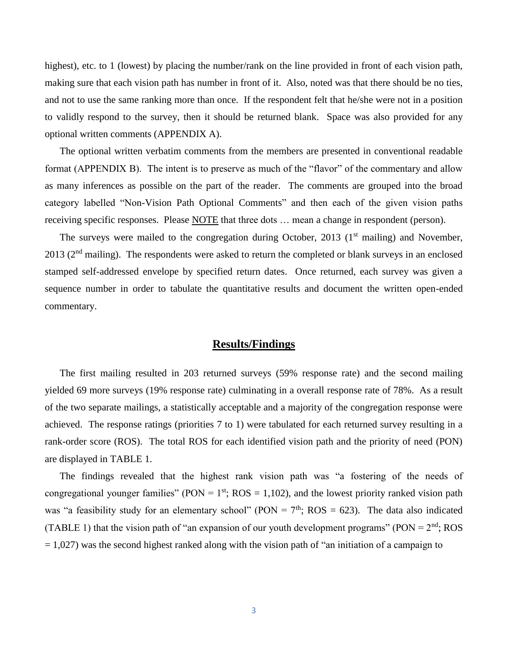highest), etc. to 1 (lowest) by placing the number/rank on the line provided in front of each vision path, making sure that each vision path has number in front of it. Also, noted was that there should be no ties, and not to use the same ranking more than once. If the respondent felt that he/she were not in a position to validly respond to the survey, then it should be returned blank. Space was also provided for any optional written comments (APPENDIX A).

The optional written verbatim comments from the members are presented in conventional readable format (APPENDIX B). The intent is to preserve as much of the "flavor" of the commentary and allow as many inferences as possible on the part of the reader. The comments are grouped into the broad category labelled "Non-Vision Path Optional Comments" and then each of the given vision paths receiving specific responses. Please NOTE that three dots ... mean a change in respondent (person).

The surveys were mailed to the congregation during October, 2013 ( $1<sup>st</sup>$  mailing) and November,  $2013$  ( $2<sup>nd</sup>$  mailing). The respondents were asked to return the completed or blank surveys in an enclosed stamped self-addressed envelope by specified return dates. Once returned, each survey was given a sequence number in order to tabulate the quantitative results and document the written open-ended commentary.

#### **Results/Findings**

The first mailing resulted in 203 returned surveys (59% response rate) and the second mailing yielded 69 more surveys (19% response rate) culminating in a overall response rate of 78%. As a result of the two separate mailings, a statistically acceptable and a majority of the congregation response were achieved. The response ratings (priorities 7 to 1) were tabulated for each returned survey resulting in a rank-order score (ROS). The total ROS for each identified vision path and the priority of need (PON) are displayed in TABLE 1.

The findings revealed that the highest rank vision path was "a fostering of the needs of congregational younger families" (PON =  $1<sup>st</sup>$ ; ROS = 1,102), and the lowest priority ranked vision path was "a feasibility study for an elementary school" (PON =  $7<sup>th</sup>$ ; ROS = 623). The data also indicated (TABLE 1) that the vision path of "an expansion of our youth development programs" (PON =  $2<sup>nd</sup>$ ; ROS  $= 1,027$ ) was the second highest ranked along with the vision path of "an initiation of a campaign to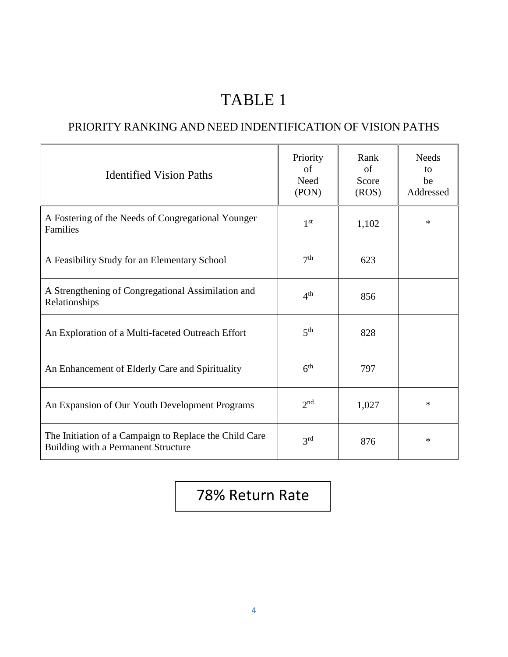## TABLE 1

### PRIORITY RANKING AND NEED INDENTIFICATION OF VISION PATHS

| <b>Identified Vision Paths</b>                                                                | Priority<br>of<br>Need<br>(PON) | Rank<br>of<br>Score<br>(ROS) | <b>Needs</b><br>to<br>be<br>Addressed |
|-----------------------------------------------------------------------------------------------|---------------------------------|------------------------------|---------------------------------------|
| A Fostering of the Needs of Congregational Younger<br>Families                                | 1 <sup>st</sup>                 | 1,102                        | $\ast$                                |
| A Feasibility Study for an Elementary School                                                  | 7 <sup>th</sup>                 | 623                          |                                       |
| A Strengthening of Congregational Assimilation and<br>Relationships                           | 4 <sup>th</sup>                 | 856                          |                                       |
| An Exploration of a Multi-faceted Outreach Effort                                             | 5 <sup>th</sup>                 | 828                          |                                       |
| An Enhancement of Elderly Care and Spirituality                                               | 6 <sup>th</sup>                 | 797                          |                                       |
| An Expansion of Our Youth Development Programs                                                | 2 <sub>nd</sub>                 | 1,027                        | $\ast$                                |
| The Initiation of a Campaign to Replace the Child Care<br>Building with a Permanent Structure | 3 <sup>rd</sup>                 | 876                          | $\ast$                                |

### 78% Return Rate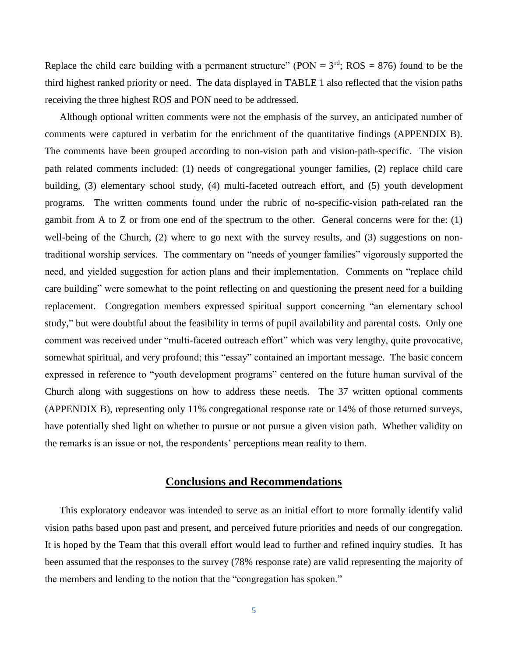Replace the child care building with a permanent structure" (PON =  $3<sup>rd</sup>$ ; ROS = 876) found to be the third highest ranked priority or need. The data displayed in TABLE 1 also reflected that the vision paths receiving the three highest ROS and PON need to be addressed.

Although optional written comments were not the emphasis of the survey, an anticipated number of comments were captured in verbatim for the enrichment of the quantitative findings (APPENDIX B). The comments have been grouped according to non-vision path and vision-path-specific. The vision path related comments included: (1) needs of congregational younger families, (2) replace child care building, (3) elementary school study, (4) multi-faceted outreach effort, and (5) youth development programs. The written comments found under the rubric of no-specific-vision path-related ran the gambit from A to Z or from one end of the spectrum to the other. General concerns were for the: (1) well-being of the Church, (2) where to go next with the survey results, and (3) suggestions on nontraditional worship services. The commentary on "needs of younger families" vigorously supported the need, and yielded suggestion for action plans and their implementation. Comments on "replace child care building" were somewhat to the point reflecting on and questioning the present need for a building replacement. Congregation members expressed spiritual support concerning "an elementary school study," but were doubtful about the feasibility in terms of pupil availability and parental costs. Only one comment was received under "multi-faceted outreach effort" which was very lengthy, quite provocative, somewhat spiritual, and very profound; this "essay" contained an important message. The basic concern expressed in reference to "youth development programs" centered on the future human survival of the Church along with suggestions on how to address these needs. The 37 written optional comments (APPENDIX B), representing only 11% congregational response rate or 14% of those returned surveys, have potentially shed light on whether to pursue or not pursue a given vision path. Whether validity on the remarks is an issue or not, the respondents' perceptions mean reality to them.

#### **Conclusions and Recommendations**

This exploratory endeavor was intended to serve as an initial effort to more formally identify valid vision paths based upon past and present, and perceived future priorities and needs of our congregation. It is hoped by the Team that this overall effort would lead to further and refined inquiry studies. It has been assumed that the responses to the survey (78% response rate) are valid representing the majority of the members and lending to the notion that the "congregation has spoken."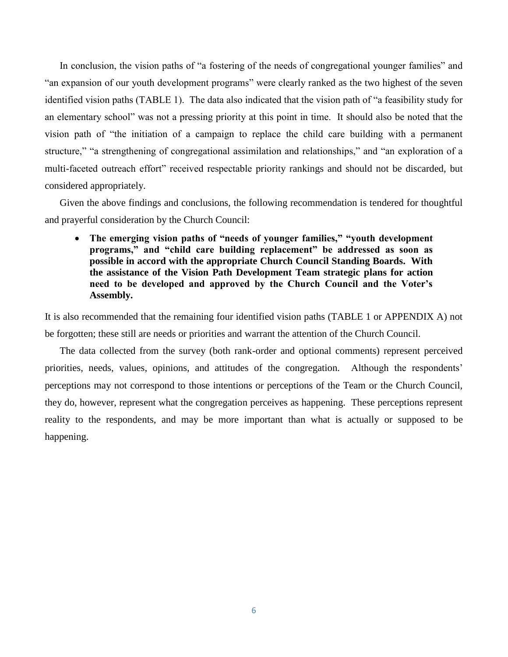In conclusion, the vision paths of "a fostering of the needs of congregational younger families" and "an expansion of our youth development programs" were clearly ranked as the two highest of the seven identified vision paths (TABLE 1). The data also indicated that the vision path of "a feasibility study for an elementary school" was not a pressing priority at this point in time. It should also be noted that the vision path of "the initiation of a campaign to replace the child care building with a permanent structure," "a strengthening of congregational assimilation and relationships," and "an exploration of a multi-faceted outreach effort" received respectable priority rankings and should not be discarded, but considered appropriately.

Given the above findings and conclusions, the following recommendation is tendered for thoughtful and prayerful consideration by the Church Council:

 **The emerging vision paths of "needs of younger families," "youth development programs," and "child care building replacement" be addressed as soon as possible in accord with the appropriate Church Council Standing Boards. With the assistance of the Vision Path Development Team strategic plans for action need to be developed and approved by the Church Council and the Voter's Assembly.**

It is also recommended that the remaining four identified vision paths (TABLE 1 or APPENDIX A) not be forgotten; these still are needs or priorities and warrant the attention of the Church Council.

The data collected from the survey (both rank-order and optional comments) represent perceived priorities, needs, values, opinions, and attitudes of the congregation. Although the respondents' perceptions may not correspond to those intentions or perceptions of the Team or the Church Council, they do, however, represent what the congregation perceives as happening. These perceptions represent reality to the respondents, and may be more important than what is actually or supposed to be happening.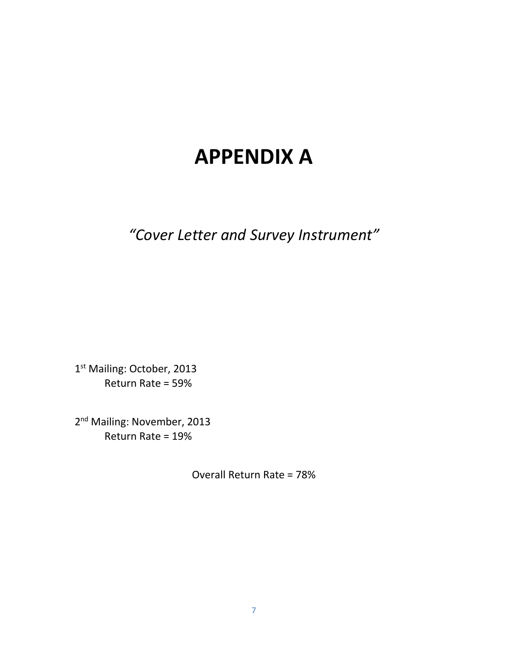# **APPENDIX A**

*"Cover Letter and Survey Instrument"*

1st Mailing: October, 2013 Return Rate = 59%

2<sup>nd</sup> Mailing: November, 2013 Return Rate = 19%

Overall Return Rate = 78%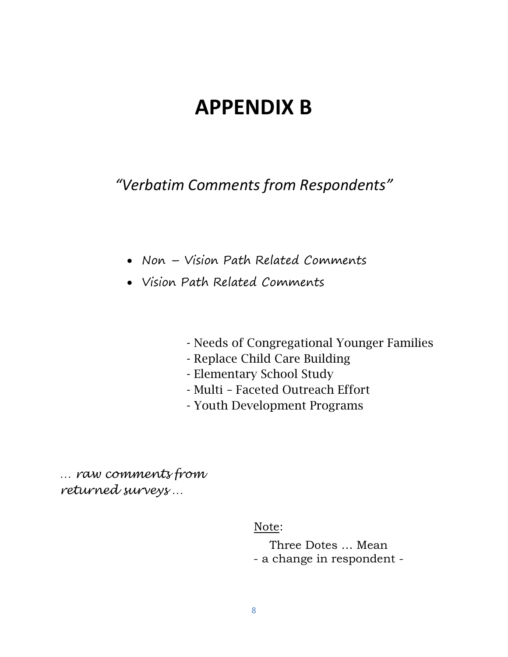## **APPENDIX B**

*"Verbatim Comments from Respondents"*

- Non Vision Path Related Comments
- Vision Path Related Comments
	- Needs of Congregational Younger Families
	- Replace Child Care Building
	- Elementary School Study
	- Multi Faceted Outreach Effort
	- Youth Development Programs

*… raw comments from returned surveys …*

Note:

Three Dotes … Mean - a change in respondent -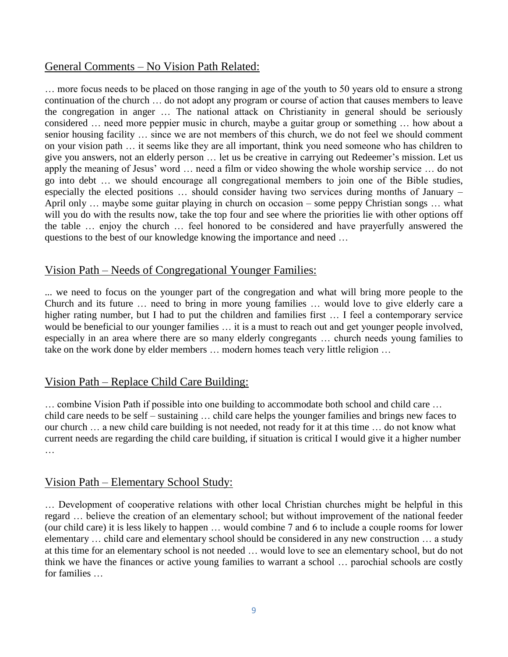#### General Comments – No Vision Path Related:

… more focus needs to be placed on those ranging in age of the youth to 50 years old to ensure a strong continuation of the church … do not adopt any program or course of action that causes members to leave the congregation in anger … The national attack on Christianity in general should be seriously considered … need more peppier music in church, maybe a guitar group or something … how about a senior housing facility … since we are not members of this church, we do not feel we should comment on your vision path … it seems like they are all important, think you need someone who has children to give you answers, not an elderly person … let us be creative in carrying out Redeemer's mission. Let us apply the meaning of Jesus' word … need a film or video showing the whole worship service … do not go into debt … we should encourage all congregational members to join one of the Bible studies, especially the elected positions … should consider having two services during months of January – April only … maybe some guitar playing in church on occasion – some peppy Christian songs … what will you do with the results now, take the top four and see where the priorities lie with other options off the table … enjoy the church … feel honored to be considered and have prayerfully answered the questions to the best of our knowledge knowing the importance and need …

#### Vision Path – Needs of Congregational Younger Families:

... we need to focus on the younger part of the congregation and what will bring more people to the Church and its future … need to bring in more young families … would love to give elderly care a higher rating number, but I had to put the children and families first ... I feel a contemporary service would be beneficial to our younger families … it is a must to reach out and get younger people involved, especially in an area where there are so many elderly congregants … church needs young families to take on the work done by elder members … modern homes teach very little religion …

#### Vision Path – Replace Child Care Building:

… combine Vision Path if possible into one building to accommodate both school and child care … child care needs to be self – sustaining … child care helps the younger families and brings new faces to our church … a new child care building is not needed, not ready for it at this time … do not know what current needs are regarding the child care building, if situation is critical I would give it a higher number …

#### Vision Path – Elementary School Study:

… Development of cooperative relations with other local Christian churches might be helpful in this regard … believe the creation of an elementary school; but without improvement of the national feeder (our child care) it is less likely to happen … would combine 7 and 6 to include a couple rooms for lower elementary … child care and elementary school should be considered in any new construction … a study at this time for an elementary school is not needed … would love to see an elementary school, but do not think we have the finances or active young families to warrant a school … parochial schools are costly for families